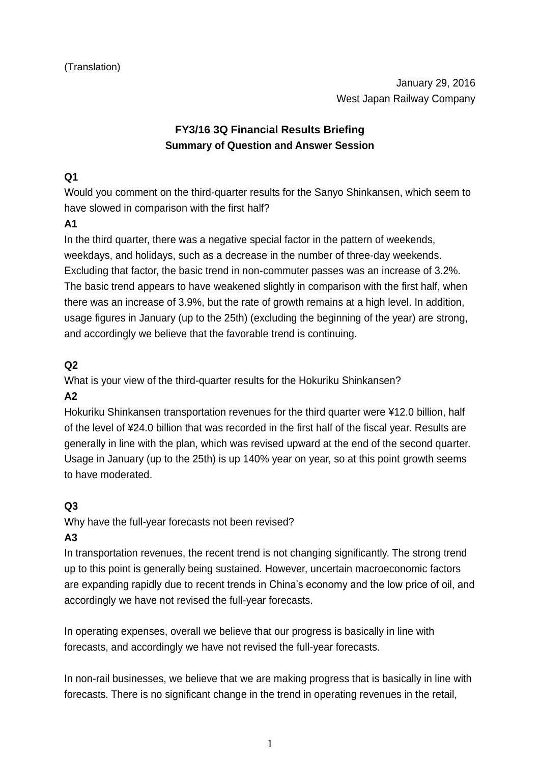# **FY3/16 3Q Financial Results Briefing Summary of Question and Answer Session**

## **Q1**

Would you comment on the third-quarter results for the Sanyo Shinkansen, which seem to have slowed in comparison with the first half?

### **A1**

In the third quarter, there was a negative special factor in the pattern of weekends, weekdays, and holidays, such as a decrease in the number of three-day weekends. Excluding that factor, the basic trend in non-commuter passes was an increase of 3.2%. The basic trend appears to have weakened slightly in comparison with the first half, when there was an increase of 3.9%, but the rate of growth remains at a high level. In addition, usage figures in January (up to the 25th) (excluding the beginning of the year) are strong, and accordingly we believe that the favorable trend is continuing.

### **Q2**

What is your view of the third-quarter results for the Hokuriku Shinkansen?

### **A2**

Hokuriku Shinkansen transportation revenues for the third quarter were ¥12.0 billion, half of the level of ¥24.0 billion that was recorded in the first half of the fiscal year. Results are generally in line with the plan, which was revised upward at the end of the second quarter. Usage in January (up to the 25th) is up 140% year on year, so at this point growth seems to have moderated.

### **Q3**

Why have the full-year forecasts not been revised?

### **A3**

In transportation revenues, the recent trend is not changing significantly. The strong trend up to this point is generally being sustained. However, uncertain macroeconomic factors are expanding rapidly due to recent trends in China's economy and the low price of oil, and accordingly we have not revised the full-year forecasts.

In operating expenses, overall we believe that our progress is basically in line with forecasts, and accordingly we have not revised the full-year forecasts.

In non-rail businesses, we believe that we are making progress that is basically in line with forecasts. There is no significant change in the trend in operating revenues in the retail,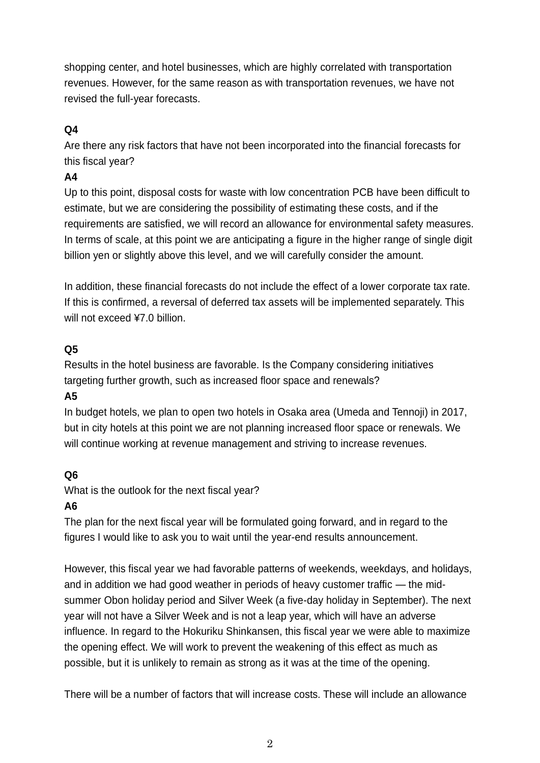shopping center, and hotel businesses, which are highly correlated with transportation revenues. However, for the same reason as with transportation revenues, we have not revised the full-year forecasts.

## **Q4**

Are there any risk factors that have not been incorporated into the financial forecasts for this fiscal year?

#### **A4**

Up to this point, disposal costs for waste with low concentration PCB have been difficult to estimate, but we are considering the possibility of estimating these costs, and if the requirements are satisfied, we will record an allowance for environmental safety measures. In terms of scale, at this point we are anticipating a figure in the higher range of single digit billion yen or slightly above this level, and we will carefully consider the amount.

In addition, these financial forecasts do not include the effect of a lower corporate tax rate. If this is confirmed, a reversal of deferred tax assets will be implemented separately. This will not exceed ¥7.0 billion.

### **Q5**

Results in the hotel business are favorable. Is the Company considering initiatives targeting further growth, such as increased floor space and renewals?

### **A5**

In budget hotels, we plan to open two hotels in Osaka area (Umeda and Tennoji) in 2017, but in city hotels at this point we are not planning increased floor space or renewals. We will continue working at revenue management and striving to increase revenues.

### **Q6**

What is the outlook for the next fiscal year?

### **A6**

The plan for the next fiscal year will be formulated going forward, and in regard to the figures I would like to ask you to wait until the year-end results announcement.

However, this fiscal year we had favorable patterns of weekends, weekdays, and holidays, and in addition we had good weather in periods of heavy customer traffic — the midsummer Obon holiday period and Silver Week (a five-day holiday in September). The next year will not have a Silver Week and is not a leap year, which will have an adverse influence. In regard to the Hokuriku Shinkansen, this fiscal year we were able to maximize the opening effect. We will work to prevent the weakening of this effect as much as possible, but it is unlikely to remain as strong as it was at the time of the opening.

There will be a number of factors that will increase costs. These will include an allowance